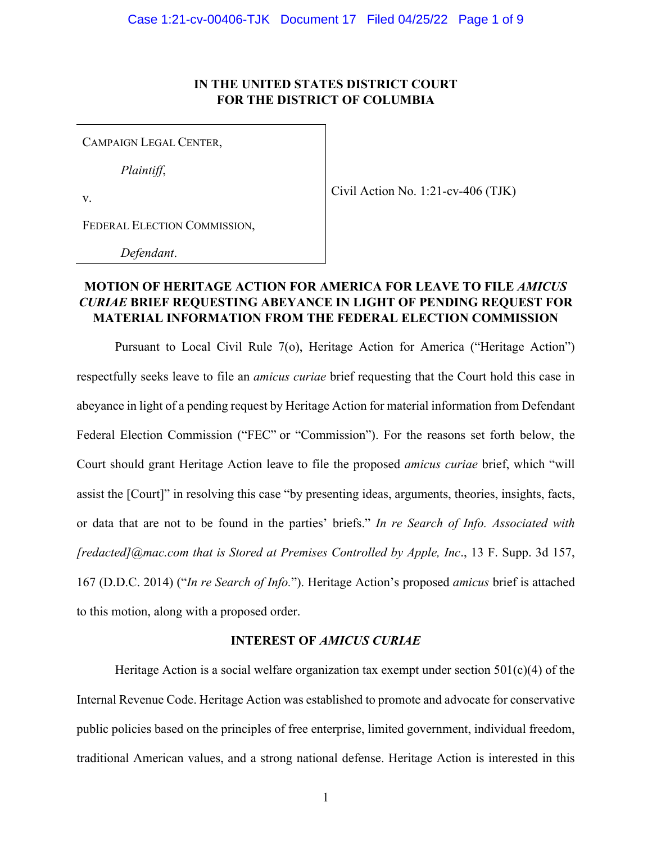## **IN THE UNITED STATES DISTRICT COURT FOR THE DISTRICT OF COLUMBIA**

CAMPAIGN LEGAL CENTER,

*Plaintiff*,

 $\begin{array}{c|c}\n\hline\n\text{Civil Action No. 1:21-cv-406 (TJK)}\n\end{array}$ 

FEDERAL ELECTION COMMISSION,

*Defendant*.

# **MOTION OF HERITAGE ACTION FOR AMERICA FOR LEAVE TO FILE** *AMICUS CURIAE* **BRIEF REQUESTING ABEYANCE IN LIGHT OF PENDING REQUEST FOR MATERIAL INFORMATION FROM THE FEDERAL ELECTION COMMISSION**

Pursuant to Local Civil Rule 7(o), Heritage Action for America ("Heritage Action") respectfully seeks leave to file an *amicus curiae* brief requesting that the Court hold this case in abeyance in light of a pending request by Heritage Action for material information from Defendant Federal Election Commission ("FEC" or "Commission"). For the reasons set forth below, the Court should grant Heritage Action leave to file the proposed *amicus curiae* brief, which "will assist the [Court]" in resolving this case "by presenting ideas, arguments, theories, insights, facts, or data that are not to be found in the parties' briefs." *In re Search of Info. Associated with [[redacted\]@mac.com](mailto:redacted]@mac.com) that is Stored at Premises Controlled by Apple, Inc*., 13 F. Supp. 3d 157, 167 (D.D.C. 2014) ("*In re Search of Info.*"). Heritage Action's proposed *amicus* brief is attached to this motion, along with a proposed order.

## **INTEREST OF** *AMICUS CURIAE*

Heritage Action is a social welfare organization tax exempt under section  $501(c)(4)$  of the Internal Revenue Code. Heritage Action was established to promote and advocate for conservative public policies based on the principles of free enterprise, limited government, individual freedom, traditional American values, and a strong national defense. Heritage Action is interested in this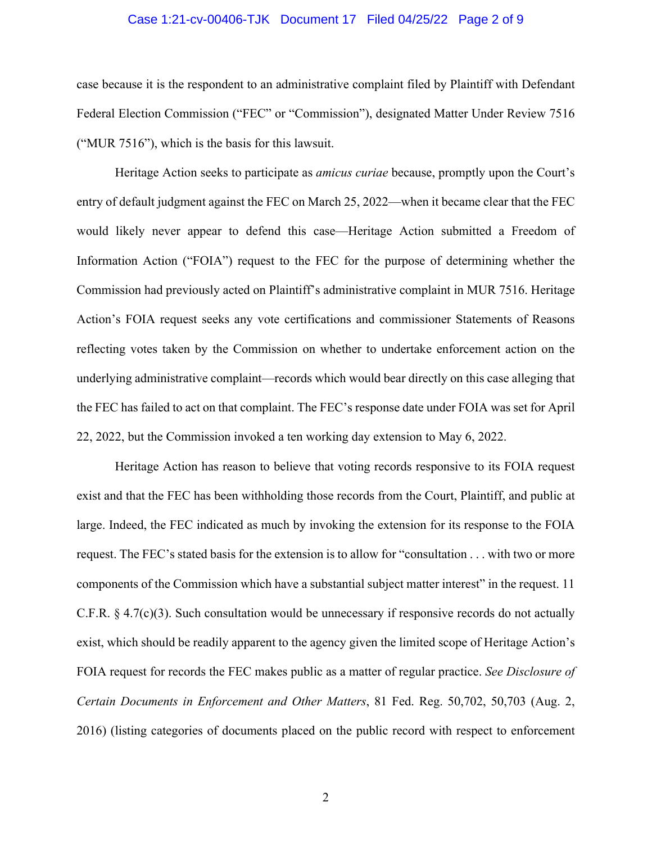## Case 1:21-cv-00406-TJK Document 17 Filed 04/25/22 Page 2 of 9

case because it is the respondent to an administrative complaint filed by Plaintiff with Defendant Federal Election Commission ("FEC" or "Commission"), designated Matter Under Review 7516 ("MUR 7516"), which is the basis for this lawsuit.

Heritage Action seeks to participate as *amicus curiae* because, promptly upon the Court's entry of default judgment against the FEC on March 25, 2022—when it became clear that the FEC would likely never appear to defend this case—Heritage Action submitted a Freedom of Information Action ("FOIA") request to the FEC for the purpose of determining whether the Commission had previously acted on Plaintiff's administrative complaint in MUR 7516. Heritage Action's FOIA request seeks any vote certifications and commissioner Statements of Reasons reflecting votes taken by the Commission on whether to undertake enforcement action on the underlying administrative complaint—records which would bear directly on this case alleging that the FEC has failed to act on that complaint. The FEC's response date under FOIA was set for April 22, 2022, but the Commission invoked a ten working day extension to May 6, 2022.

Heritage Action has reason to believe that voting records responsive to its FOIA request exist and that the FEC has been withholding those records from the Court, Plaintiff, and public at large. Indeed, the FEC indicated as much by invoking the extension for its response to the FOIA request. The FEC's stated basis for the extension is to allow for "consultation . . . with two or more components of the Commission which have a substantial subject matter interest" in the request. 11 C.F.R.  $\S 4.7(c)(3)$ . Such consultation would be unnecessary if responsive records do not actually exist, which should be readily apparent to the agency given the limited scope of Heritage Action's FOIA request for records the FEC makes public as a matter of regular practice. *See Disclosure of Certain Documents in Enforcement and Other Matters*, 81 Fed. Reg. 50,702, 50,703 (Aug. 2, 2016) (listing categories of documents placed on the public record with respect to enforcement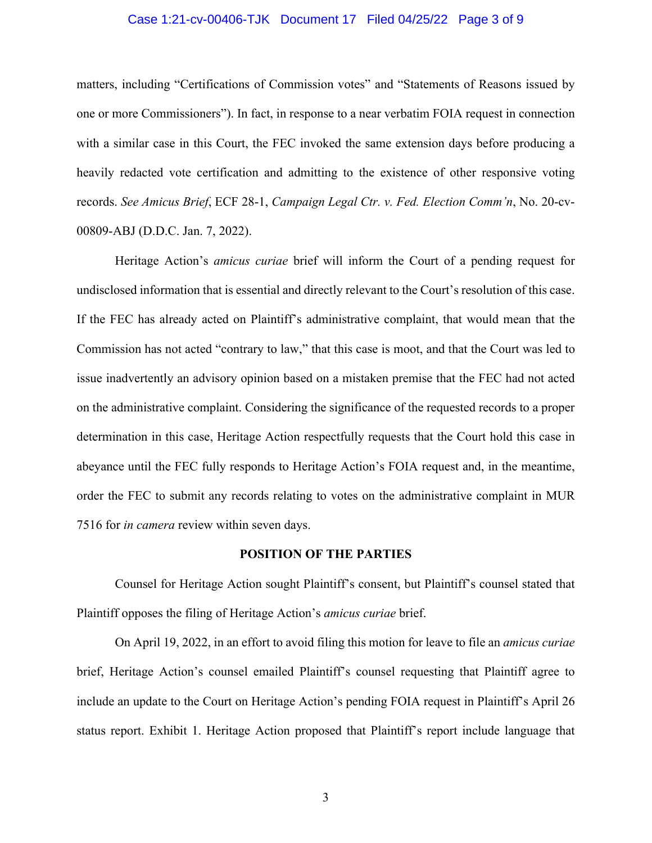## Case 1:21-cv-00406-TJK Document 17 Filed 04/25/22 Page 3 of 9

matters, including "Certifications of Commission votes" and "Statements of Reasons issued by one or more Commissioners"). In fact, in response to a near verbatim FOIA request in connection with a similar case in this Court, the FEC invoked the same extension days before producing a heavily redacted vote certification and admitting to the existence of other responsive voting records. *See Amicus Brief*, ECF 28-1, *Campaign Legal Ctr. v. Fed. Election Comm'n*, No. 20-cv-00809-ABJ (D.D.C. Jan. 7, 2022).

 Heritage Action's *amicus curiae* brief will inform the Court of a pending request for undisclosed information that is essential and directly relevant to the Court's resolution of this case. If the FEC has already acted on Plaintiff's administrative complaint, that would mean that the Commission has not acted "contrary to law," that this case is moot, and that the Court was led to issue inadvertently an advisory opinion based on a mistaken premise that the FEC had not acted on the administrative complaint. Considering the significance of the requested records to a proper determination in this case, Heritage Action respectfully requests that the Court hold this case in abeyance until the FEC fully responds to Heritage Action's FOIA request and, in the meantime, order the FEC to submit any records relating to votes on the administrative complaint in MUR 7516 for *in camera* review within seven days.

#### **POSITION OF THE PARTIES**

Counsel for Heritage Action sought Plaintiff's consent, but Plaintiff's counsel stated that Plaintiff opposes the filing of Heritage Action's *amicus curiae* brief.

On April 19, 2022, in an effort to avoid filing this motion for leave to file an *amicus curiae*  brief, Heritage Action's counsel emailed Plaintiff's counsel requesting that Plaintiff agree to include an update to the Court on Heritage Action's pending FOIA request in Plaintiff's April 26 status report. Exhibit 1. Heritage Action proposed that Plaintiff's report include language that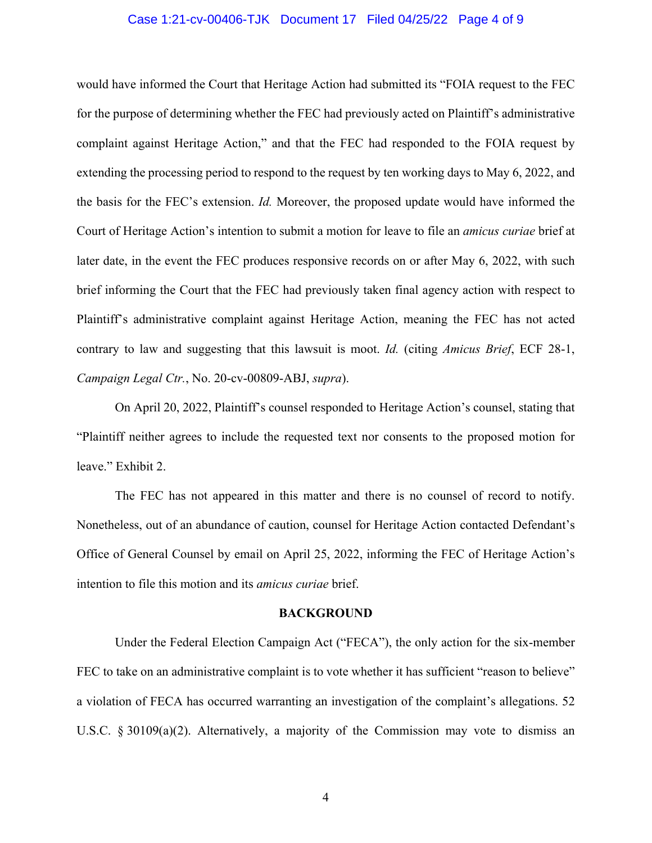## Case 1:21-cv-00406-TJK Document 17 Filed 04/25/22 Page 4 of 9

would have informed the Court that Heritage Action had submitted its "FOIA request to the FEC for the purpose of determining whether the FEC had previously acted on Plaintiff's administrative complaint against Heritage Action," and that the FEC had responded to the FOIA request by extending the processing period to respond to the request by ten working days to May 6, 2022, and the basis for the FEC's extension. *Id.* Moreover, the proposed update would have informed the Court of Heritage Action's intention to submit a motion for leave to file an *amicus curiae* brief at later date, in the event the FEC produces responsive records on or after May 6, 2022, with such brief informing the Court that the FEC had previously taken final agency action with respect to Plaintiff's administrative complaint against Heritage Action, meaning the FEC has not acted contrary to law and suggesting that this lawsuit is moot. *Id.* (citing *Amicus Brief*, ECF 28-1, *Campaign Legal Ctr.*, No. 20-cv-00809-ABJ, *supra*).

On April 20, 2022, Plaintiff's counsel responded to Heritage Action's counsel, stating that "Plaintiff neither agrees to include the requested text nor consents to the proposed motion for leave." Exhibit 2.

The FEC has not appeared in this matter and there is no counsel of record to notify. Nonetheless, out of an abundance of caution, counsel for Heritage Action contacted Defendant's Office of General Counsel by email on April 25, 2022, informing the FEC of Heritage Action's intention to file this motion and its *amicus curiae* brief.

#### **BACKGROUND**

Under the Federal Election Campaign Act ("FECA"), the only action for the six-member FEC to take on an administrative complaint is to vote whether it has sufficient "reason to believe" a violation of FECA has occurred warranting an investigation of the complaint's allegations. 52 U.S.C. § 30109(a)(2). Alternatively, a majority of the Commission may vote to dismiss an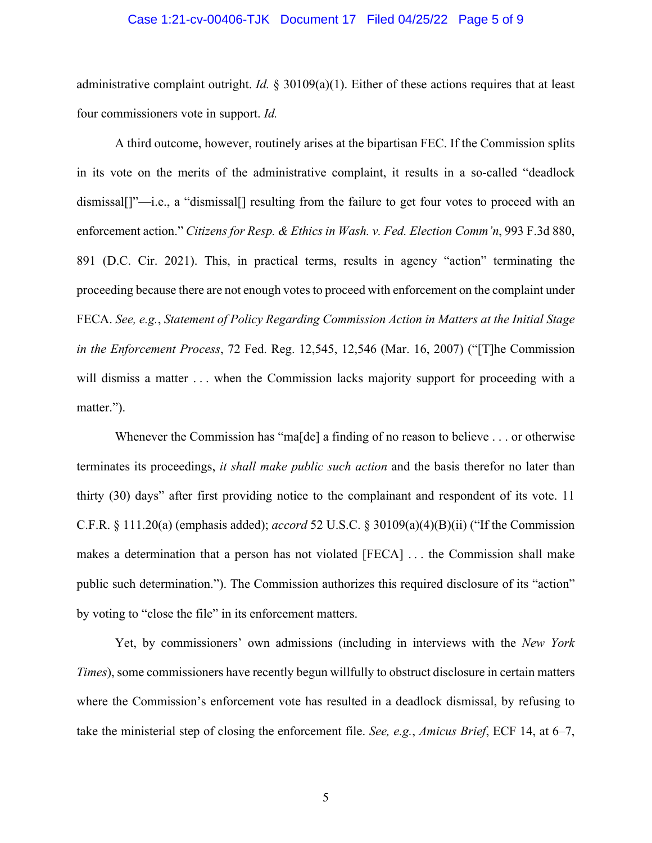#### Case 1:21-cv-00406-TJK Document 17 Filed 04/25/22 Page 5 of 9

 four commissioners vote in support. *Id.* administrative complaint outright. *Id.* § 30109(a)(1). Either of these actions requires that at least

A third outcome, however, routinely arises at the bipartisan FEC. If the Commission splits in its vote on the merits of the administrative complaint, it results in a so-called "deadlock dismissal[]"—i.e., a "dismissal[] resulting from the failure to get four votes to proceed with an enforcement action." *Citizens for Resp. & Ethics in Wash. v. Fed. Election Comm'n*, 993 F.3d 880, 891 (D.C. Cir. 2021). This, in practical terms, results in agency "action" terminating the proceeding because there are not enough votes to proceed with enforcement on the complaint under FECA. *See, e.g.*, *Statement of Policy Regarding Commission Action in Matters at the Initial Stage in the Enforcement Process*, 72 Fed. Reg. 12,545, 12,546 (Mar. 16, 2007) ("[T]he Commission will dismiss a matter ... when the Commission lacks majority support for proceeding with a matter.").

Whenever the Commission has "ma<sup>[de]</sup> a finding of no reason to believe . . . or otherwise terminates its proceedings, *it shall make public such action* and the basis therefor no later than thirty (30) days" after first providing notice to the complainant and respondent of its vote. 11 C.F.R. § 111.20(a) (emphasis added); *accord* 52 U.S.C. § 30109(a)(4)(B)(ii) ("If the Commission makes a determination that a person has not violated [FECA] . . . the Commission shall make public such determination."). The Commission authorizes this required disclosure of its "action" by voting to "close the file" in its enforcement matters.

Yet, by commissioners' own admissions (including in interviews with the *New York Times*), some commissioners have recently begun willfully to obstruct disclosure in certain matters where the Commission's enforcement vote has resulted in a deadlock dismissal, by refusing to take the ministerial step of closing the enforcement file. *See, e.g.*, *Amicus Brief*, ECF 14, at 6–7,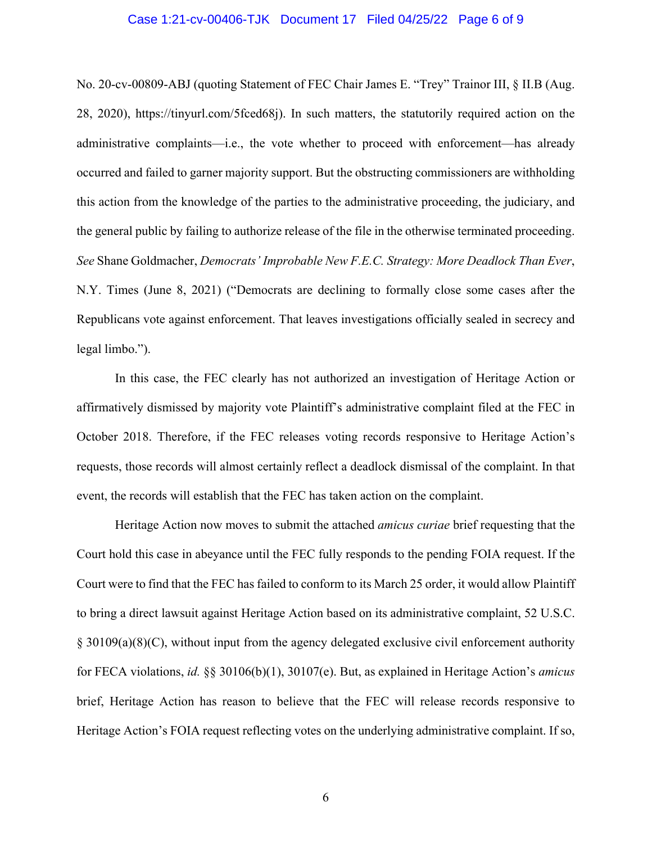### Case 1:21-cv-00406-TJK Document 17 Filed 04/25/22 Page 6 of 9

No. 20-cv-00809-ABJ (quoting Statement of FEC Chair James E. "Trey" Trainor III, § II.B (Aug. 28, 2020), [https://tinyurl.com/5fced68j\)](https://tinyurl.com/5fced68j). In such matters, the statutorily required action on the administrative complaints—i.e., the vote whether to proceed with enforcement—has already occurred and failed to garner majority support. But the obstructing commissioners are withholding this action from the knowledge of the parties to the administrative proceeding, the judiciary, and the general public by failing to authorize release of the file in the otherwise terminated proceeding. *See* Shane Goldmacher, *Democrats' Improbable New F.E.C. Strategy: More Deadlock Than Ever*, N.Y. Times (June 8, 2021) ("Democrats are declining to formally close some cases after the Republicans vote against enforcement. That leaves investigations officially sealed in secrecy and legal limbo.").

In this case, the FEC clearly has not authorized an investigation of Heritage Action or affirmatively dismissed by majority vote Plaintiff's administrative complaint filed at the FEC in October 2018. Therefore, if the FEC releases voting records responsive to Heritage Action's requests, those records will almost certainly reflect a deadlock dismissal of the complaint. In that event, the records will establish that the FEC has taken action on the complaint.

Heritage Action now moves to submit the attached *amicus curiae* brief requesting that the Court hold this case in abeyance until the FEC fully responds to the pending FOIA request. If the Court were to find that the FEC has failed to conform to its March 25 order, it would allow Plaintiff to bring a direct lawsuit against Heritage Action based on its administrative complaint, 52 U.S.C. § 30109(a)(8)(C), without input from the agency delegated exclusive civil enforcement authority for FECA violations, *id.* §§ 30106(b)(1), 30107(e). But, as explained in Heritage Action's *amicus*  brief, Heritage Action has reason to believe that the FEC will release records responsive to Heritage Action's FOIA request reflecting votes on the underlying administrative complaint. If so,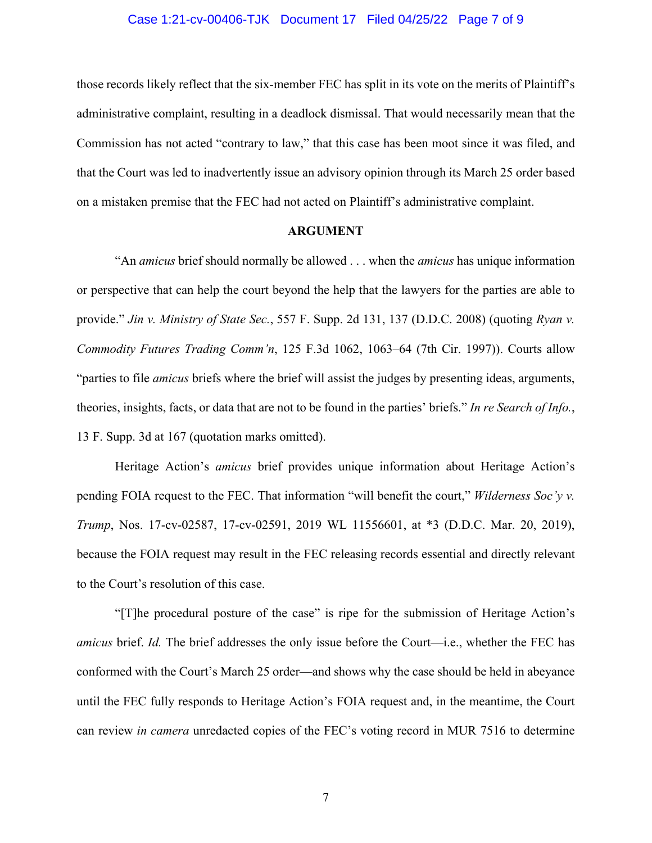## Case 1:21-cv-00406-TJK Document 17 Filed 04/25/22 Page 7 of 9

those records likely reflect that the six-member FEC has split in its vote on the merits of Plaintiff's administrative complaint, resulting in a deadlock dismissal. That would necessarily mean that the Commission has not acted "contrary to law," that this case has been moot since it was filed, and that the Court was led to inadvertently issue an advisory opinion through its March 25 order based on a mistaken premise that the FEC had not acted on Plaintiff's administrative complaint.

## **ARGUMENT**

 "An *amicus* brief should normally be allowed . . . when the *amicus* has unique information or perspective that can help the court beyond the help that the lawyers for the parties are able to provide." *Jin v. Ministry of State Sec.*, 557 F. Supp. 2d 131, 137 (D.D.C. 2008) (quoting *Ryan v. Commodity Futures Trading Comm'n*, 125 F.3d 1062, 1063–64 (7th Cir. 1997)). Courts allow "parties to file *amicus* briefs where the brief will assist the judges by presenting ideas, arguments, theories, insights, facts, or data that are not to be found in the parties' briefs." *In re Search of Info.*, 13 F. Supp. 3d at 167 (quotation marks omitted).

 Heritage Action's *amicus* brief provides unique information about Heritage Action's pending FOIA request to the FEC. That information "will benefit the court," *Wilderness Soc'y v. Trump*, Nos. 17-cv-02587, 17-cv-02591, 2019 WL 11556601, at \*3 (D.D.C. Mar. 20, 2019), because the FOIA request may result in the FEC releasing records essential and directly relevant to the Court's resolution of this case.

"[T]he procedural posture of the case" is ripe for the submission of Heritage Action's *amicus* brief. *Id.* The brief addresses the only issue before the Court—i.e., whether the FEC has conformed with the Court's March 25 order—and shows why the case should be held in abeyance until the FEC fully responds to Heritage Action's FOIA request and, in the meantime, the Court can review *in camera* unredacted copies of the FEC's voting record in MUR 7516 to determine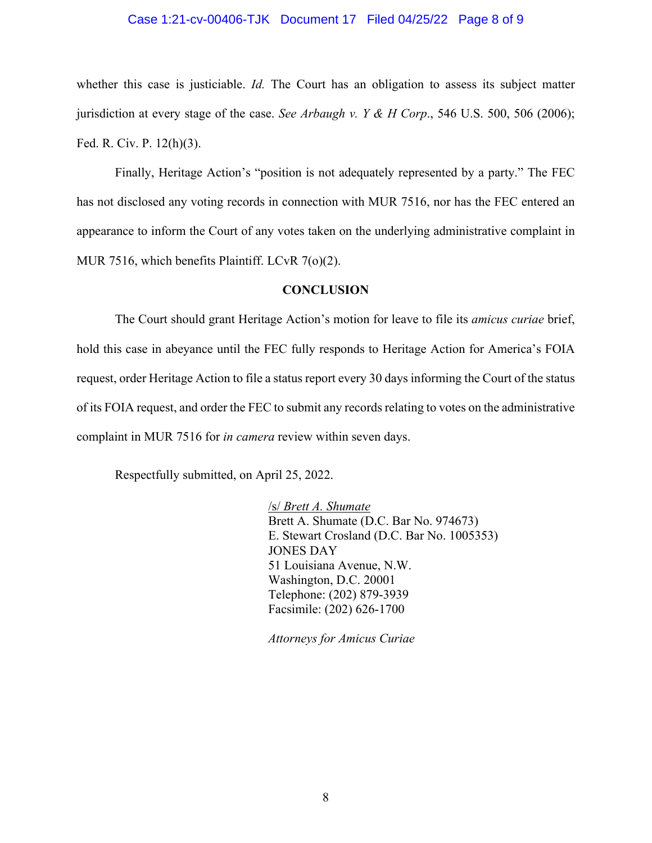## Case 1:21-cv-00406-TJK Document 17 Filed 04/25/22 Page 8 of 9

whether this case is justiciable. *Id.* The Court has an obligation to assess its subject matter jurisdiction at every stage of the case. *See Arbaugh v. Y & H Corp*., 546 U.S. 500, 506 (2006); Fed. R. Civ. P. 12(h)(3).

Finally, Heritage Action's "position is not adequately represented by a party." The FEC has not disclosed any voting records in connection with MUR 7516, nor has the FEC entered an appearance to inform the Court of any votes taken on the underlying administrative complaint in MUR 7516, which benefits Plaintiff. LCvR 7(o)(2).

## **CONCLUSION**

The Court should grant Heritage Action's motion for leave to file its *amicus curiae* brief, hold this case in abeyance until the FEC fully responds to Heritage Action for America's FOIA request, order Heritage Action to file a status report every 30 days informing the Court of the status of its FOIA request, and order the FEC to submit any records relating to votes on the administrative complaint in MUR 7516 for *in camera* review within seven days.

Respectfully submitted, on April 25, 2022.

 /s/ *Brett A. Shumate* Brett A. Shumate (D.C. Bar No. 974673) E. Stewart Crosland (D.C. Bar No. 1005353) JONES DAY 51 Louisiana Avenue, N.W. Washington, D.C. 20001 Telephone: (202) 879-3939 Facsimile: (202) 626-1700

*Attorneys for Amicus Curiae*